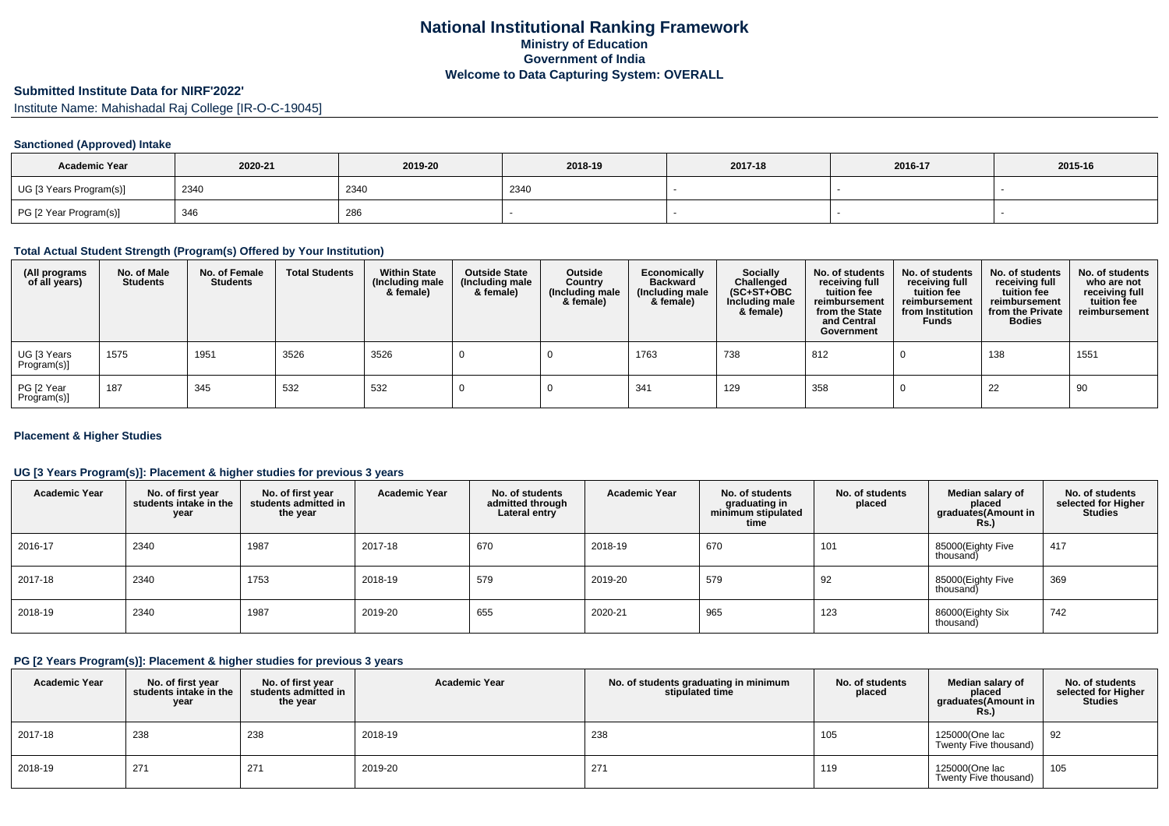# **Submitted Institute Data for NIRF'2022'**

Institute Name: Mahishadal Raj College [IR-O-C-19045]

## **Sanctioned (Approved) Intake**

| <b>Academic Year</b>    | 2020-21 | 2019-20 | 2018-19 | 2017-18 | 2016-17 | 2015-16 |
|-------------------------|---------|---------|---------|---------|---------|---------|
| UG [3 Years Program(s)] | 2340    | 2340    | 234     |         |         |         |
| PG [2 Year Program(s)]  | 346     | 286     |         |         |         |         |

## **Total Actual Student Strength (Program(s) Offered by Your Institution)**

| (All programs<br>of all years) | No. of Male<br><b>Students</b> | No. of Female<br><b>Students</b> | <b>Total Students</b> | <b>Within State</b><br>(Including male<br>& female) | <b>Outside State</b><br>(Including male<br>& female) | Outside<br>Country<br>(Including male<br>& female) | Economically<br><b>Backward</b><br>(Including male<br>& female) | <b>Socially</b><br>Challenged<br>$(SC+ST+OBC)$<br>Including male<br>& female) | No. of students<br>receiving full<br>tuition fee<br>reimbursement<br>from the State<br>and Central<br>Government | No. of students<br>receiving full<br>tuition fee<br>reimbursement<br>from Institution<br><b>Funds</b> | No. of students<br>receiving full<br>tuition fee<br>reimbursement<br>from the Private<br><b>Bodies</b> | No. of students<br>who are not<br>receiving full<br>tuition fee<br>reimbursement |
|--------------------------------|--------------------------------|----------------------------------|-----------------------|-----------------------------------------------------|------------------------------------------------------|----------------------------------------------------|-----------------------------------------------------------------|-------------------------------------------------------------------------------|------------------------------------------------------------------------------------------------------------------|-------------------------------------------------------------------------------------------------------|--------------------------------------------------------------------------------------------------------|----------------------------------------------------------------------------------|
| UG [3 Years<br>Program(s)]     | 1575                           | 1951                             | 3526                  | 3526                                                |                                                      |                                                    | 1763                                                            | 738                                                                           | 812                                                                                                              |                                                                                                       | 138                                                                                                    | 1551                                                                             |
| PG [2 Year<br>Program(s)]      | 187                            | 345                              | 532                   | 532                                                 |                                                      |                                                    | 341                                                             | 129                                                                           | 358                                                                                                              |                                                                                                       | 22                                                                                                     | 90                                                                               |

## **Placement & Higher Studies**

## **UG [3 Years Program(s)]: Placement & higher studies for previous 3 years**

| <b>Academic Year</b> | No. of first year<br>students intake in the<br>year | No. of first year<br>students admitted in<br>the year | <b>Academic Year</b> | No. of students<br>admitted through<br>Lateral entry | <b>Academic Year</b> | No. of students<br>graduating in<br>minimum stipulated<br>time | No. of students<br>placed | Median salary of<br>placed<br>graduates(Amount in<br>Rs.) | No. of students<br>selected for Higher<br><b>Studies</b> |
|----------------------|-----------------------------------------------------|-------------------------------------------------------|----------------------|------------------------------------------------------|----------------------|----------------------------------------------------------------|---------------------------|-----------------------------------------------------------|----------------------------------------------------------|
| 2016-17              | 2340                                                | 1987                                                  | 2017-18              | 670                                                  | 2018-19              | 670                                                            | 101                       | 85000(Eighty Five<br>thousand)                            | 417                                                      |
| 2017-18              | 2340                                                | 1753                                                  | 2018-19              | 579                                                  | 2019-20              | 579                                                            | 92                        | 85000(Eighty Five<br>thousand)                            | 369                                                      |
| 2018-19              | 2340                                                | 1987                                                  | 2019-20              | 655                                                  | 2020-21              | 965                                                            | 123                       | 86000(Eighty Six<br>thousand)                             | 742                                                      |

## **PG [2 Years Program(s)]: Placement & higher studies for previous 3 years**

| <b>Academic Year</b> | No. of first year<br>students intake in the<br>year | No. of first vear<br>students admitted in<br>the year | <b>Academic Year</b> | No. of students graduating in minimum<br>stipulated time | No. of students<br>placed | Median salary of<br>placed<br>graduates(Amount in<br>Rs.) | No. of students<br>selected for Higher<br><b>Studies</b> |
|----------------------|-----------------------------------------------------|-------------------------------------------------------|----------------------|----------------------------------------------------------|---------------------------|-----------------------------------------------------------|----------------------------------------------------------|
| 2017-18              | 238                                                 | 238                                                   | 2018-19              | 238                                                      | 105                       | 125000(One lac<br>Twenty Five thousand)                   | 92                                                       |
| 2018-19              | 271                                                 | 271                                                   | 2019-20              | 271                                                      | 119                       | 125000(One lac<br>Twenty Five thousand)                   | 105                                                      |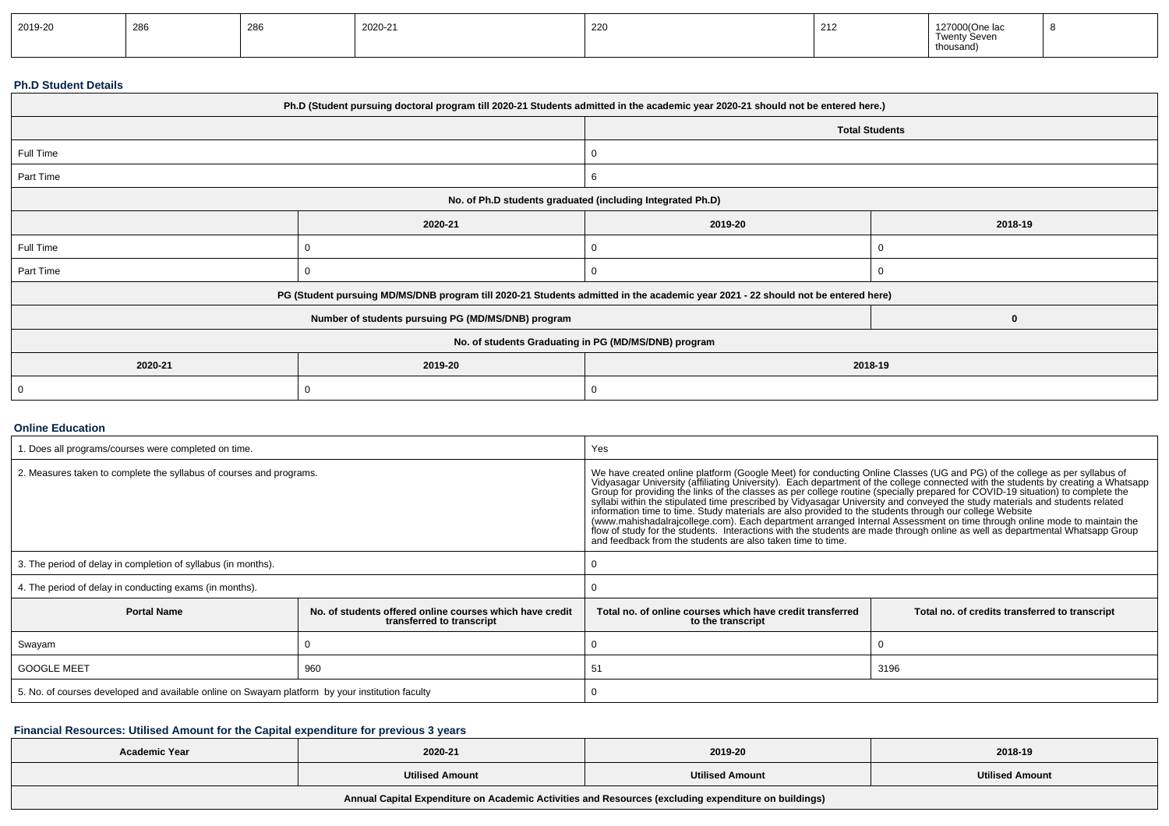| 2019-20 | 286 | $\sim$<br>72<br>∠∪∪ | 2020-21 | 220 | 212 | 127000(One lac<br>$\overline{\phantom{0}}$<br>ty Sever<br>$\overline{ }$<br>thousand |  |
|---------|-----|---------------------|---------|-----|-----|--------------------------------------------------------------------------------------|--|
|---------|-----|---------------------|---------|-----|-----|--------------------------------------------------------------------------------------|--|

### **Ph.D Student Details**

|                                                      | Ph.D (Student pursuing doctoral program till 2020-21 Students admitted in the academic year 2020-21 should not be entered here.) |         |                       |  |  |  |  |
|------------------------------------------------------|----------------------------------------------------------------------------------------------------------------------------------|---------|-----------------------|--|--|--|--|
|                                                      |                                                                                                                                  |         | <b>Total Students</b> |  |  |  |  |
| Full Time                                            |                                                                                                                                  |         |                       |  |  |  |  |
| Part Time                                            |                                                                                                                                  | 6       |                       |  |  |  |  |
|                                                      | No. of Ph.D students graduated (including Integrated Ph.D)                                                                       |         |                       |  |  |  |  |
|                                                      | 2020-21                                                                                                                          | 2019-20 | 2018-19               |  |  |  |  |
| Full Time                                            |                                                                                                                                  |         |                       |  |  |  |  |
| Part Time                                            |                                                                                                                                  | 0       |                       |  |  |  |  |
|                                                      | PG (Student pursuing MD/MS/DNB program till 2020-21 Students admitted in the academic year 2021 - 22 should not be entered here) |         |                       |  |  |  |  |
|                                                      | Number of students pursuing PG (MD/MS/DNB) program                                                                               |         | $\bf{0}$              |  |  |  |  |
| No. of students Graduating in PG (MD/MS/DNB) program |                                                                                                                                  |         |                       |  |  |  |  |
| 2020-21<br>2019-20<br>2018-19                        |                                                                                                                                  |         |                       |  |  |  |  |
| 0                                                    |                                                                                                                                  |         |                       |  |  |  |  |

## **Online Education**

| . Does all programs/courses were completed on time.                                             |                                                                                       | Yes                                                                                                                                                                                                                                                                                                                                                                                                                                                                                                                                                                                                                                                                                                                                                                                                                                                                                                                                  |                                                |  |  |
|-------------------------------------------------------------------------------------------------|---------------------------------------------------------------------------------------|--------------------------------------------------------------------------------------------------------------------------------------------------------------------------------------------------------------------------------------------------------------------------------------------------------------------------------------------------------------------------------------------------------------------------------------------------------------------------------------------------------------------------------------------------------------------------------------------------------------------------------------------------------------------------------------------------------------------------------------------------------------------------------------------------------------------------------------------------------------------------------------------------------------------------------------|------------------------------------------------|--|--|
| 2. Measures taken to complete the syllabus of courses and programs.                             |                                                                                       | We have created online platform (Google Meet) for conducting Online Classes (UG and PG) of the college as per syllabus of<br>Vidyasagar University (affiliating University). Each department of the college connected with the students by creating a Whatsapp<br>Group for providing the links of the classes as per college routine (specially prepared for<br>syllabi within the stipulated time prescribed by Vidyasagar University and conveyed the study materials and students related<br>information time to time. Study materials are also provided to the students through our college Website<br>(www.mahishadalrajcollege.com). Each department arranged Internal Assessment on time through online mode to maintain the<br>flow of study for the students. Interactions with the students are made through online as well as departmental Whatsapp Group<br>and feedback from the students are also taken time to time. |                                                |  |  |
| 3. The period of delay in completion of syllabus (in months).                                   |                                                                                       |                                                                                                                                                                                                                                                                                                                                                                                                                                                                                                                                                                                                                                                                                                                                                                                                                                                                                                                                      |                                                |  |  |
| 4. The period of delay in conducting exams (in months).                                         |                                                                                       |                                                                                                                                                                                                                                                                                                                                                                                                                                                                                                                                                                                                                                                                                                                                                                                                                                                                                                                                      |                                                |  |  |
| <b>Portal Name</b>                                                                              | No. of students offered online courses which have credit<br>transferred to transcript | Total no, of online courses which have credit transferred<br>to the transcript                                                                                                                                                                                                                                                                                                                                                                                                                                                                                                                                                                                                                                                                                                                                                                                                                                                       | Total no. of credits transferred to transcript |  |  |
| Swayam                                                                                          |                                                                                       |                                                                                                                                                                                                                                                                                                                                                                                                                                                                                                                                                                                                                                                                                                                                                                                                                                                                                                                                      |                                                |  |  |
| <b>GOOGLE MEET</b><br>960                                                                       |                                                                                       | 3196<br>51                                                                                                                                                                                                                                                                                                                                                                                                                                                                                                                                                                                                                                                                                                                                                                                                                                                                                                                           |                                                |  |  |
| 5. No. of courses developed and available online on Swayam platform by your institution faculty |                                                                                       |                                                                                                                                                                                                                                                                                                                                                                                                                                                                                                                                                                                                                                                                                                                                                                                                                                                                                                                                      |                                                |  |  |

## **Financial Resources: Utilised Amount for the Capital expenditure for previous 3 years**

| Academic Year                                                                                        | 2020-21                | 2019-20                | 2018-19                |  |  |  |  |
|------------------------------------------------------------------------------------------------------|------------------------|------------------------|------------------------|--|--|--|--|
|                                                                                                      | <b>Utilised Amount</b> | <b>Utilised Amount</b> | <b>Utilised Amount</b> |  |  |  |  |
| Annual Capital Expenditure on Academic Activities and Resources (excluding expenditure on buildings) |                        |                        |                        |  |  |  |  |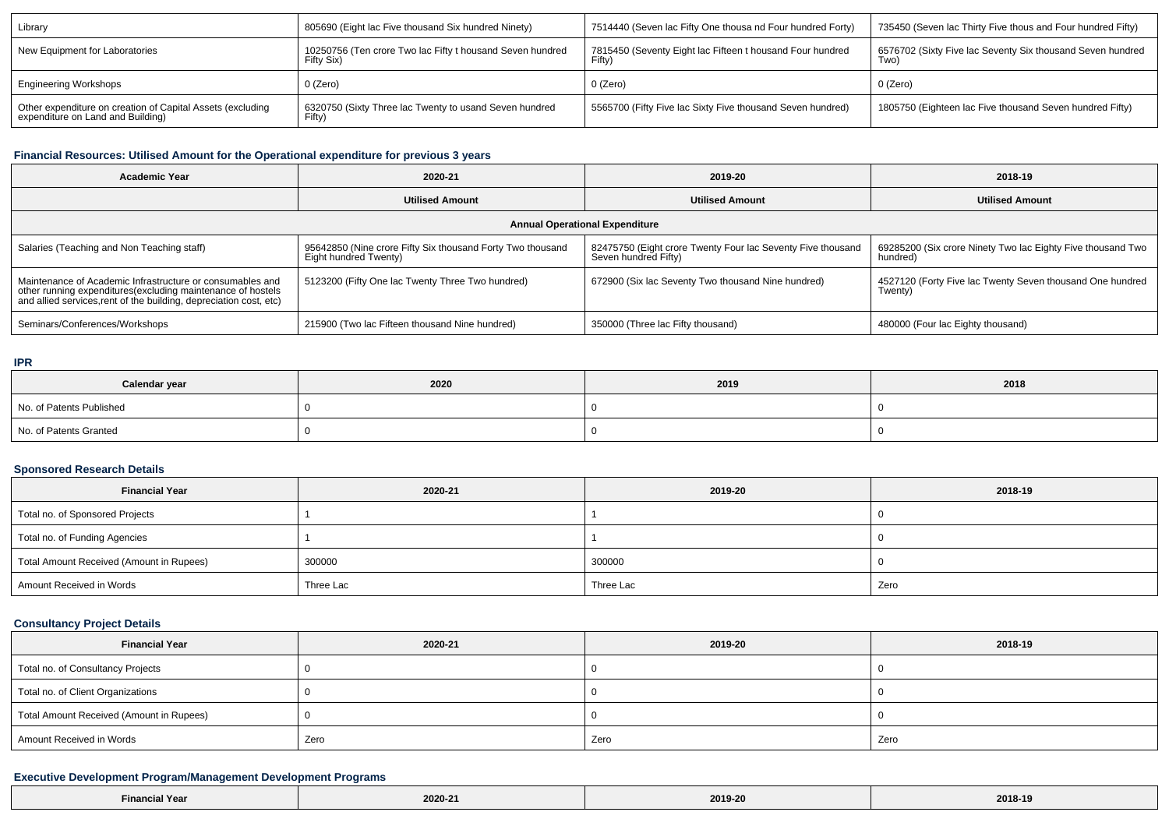| Library                                                                                         | 805690 (Eight lac Five thousand Six hundred Ninety)                     | 7514440 (Seven lac Fifty One thousa nd Four hundred Forty)          | 735450 (Seven lac Thirty Five thous and Four hundred Fifty)       |
|-------------------------------------------------------------------------------------------------|-------------------------------------------------------------------------|---------------------------------------------------------------------|-------------------------------------------------------------------|
| New Equipment for Laboratories                                                                  | 10250756 (Ten crore Two lac Fifty t housand Seven hundred<br>Fifty Six) | 7815450 (Seventy Eight lac Fifteen t housand Four hundred<br>Fifty) | 6576702 (Sixty Five lac Seventy Six thousand Seven hundred<br>Two |
| <b>Engineering Workshops</b>                                                                    | 0 (Zero)                                                                | 0 (Zero)                                                            | 0 (Zero)                                                          |
| Other expenditure on creation of Capital Assets (excluding<br>expenditure on Land and Building) | 6320750 (Sixty Three lac Twenty to usand Seven hundred<br>Fifty.        | 5565700 (Fifty Five lac Sixty Five thousand Seven hundred)          | 1805750 (Eighteen lac Five thousand Seven hundred Fifty)          |

## **Financial Resources: Utilised Amount for the Operational expenditure for previous 3 years**

| <b>Academic Year</b>                                                                                                                                                                           | 2020-21                                                                             | 2019-20                                                                             | 2018-19                                                                 |  |  |  |  |  |
|------------------------------------------------------------------------------------------------------------------------------------------------------------------------------------------------|-------------------------------------------------------------------------------------|-------------------------------------------------------------------------------------|-------------------------------------------------------------------------|--|--|--|--|--|
|                                                                                                                                                                                                | <b>Utilised Amount</b>                                                              | <b>Utilised Amount</b>                                                              | <b>Utilised Amount</b>                                                  |  |  |  |  |  |
| <b>Annual Operational Expenditure</b>                                                                                                                                                          |                                                                                     |                                                                                     |                                                                         |  |  |  |  |  |
| Salaries (Teaching and Non Teaching staff)                                                                                                                                                     | 95642850 (Nine crore Fifty Six thousand Forty Two thousand<br>Eight hundred Twenty) | 82475750 (Eight crore Twenty Four lac Seventy Five thousand<br>Seven hundred Fifty) | 69285200 (Six crore Ninety Two lac Eighty Five thousand Two<br>hundred) |  |  |  |  |  |
| Maintenance of Academic Infrastructure or consumables and<br>other running expenditures(excluding maintenance of hostels<br>and allied services, rent of the building, depreciation cost, etc) | 5123200 (Fifty One lac Twenty Three Two hundred)                                    | 672900 (Six lac Seventy Two thousand Nine hundred)                                  | 4527120 (Forty Five lac Twenty Seven thousand One hundred<br>Twenty)    |  |  |  |  |  |
| Seminars/Conferences/Workshops                                                                                                                                                                 | 215900 (Two lac Fifteen thousand Nine hundred)                                      | 350000 (Three lac Fifty thousand)                                                   | 480000 (Four lac Eighty thousand)                                       |  |  |  |  |  |

#### **IPR**

 $\Box$ 

| Calendar year            | 2020 | 2019 | 2018 |
|--------------------------|------|------|------|
| No. of Patents Published |      |      |      |
| No. of Patents Granted   |      |      |      |

## **Sponsored Research Details**

| <b>Financial Year</b>                    | 2020-21   | 2019-20   | 2018-19 |
|------------------------------------------|-----------|-----------|---------|
| Total no. of Sponsored Projects          |           |           |         |
| Total no. of Funding Agencies            |           |           |         |
| Total Amount Received (Amount in Rupees) | 300000    | 300000    |         |
| Amount Received in Words                 | Three Lac | Three Lac | Zero    |

## **Consultancy Project Details**

| <b>Financial Year</b>                    | 2020-21 | 2019-20 | 2018-19 |
|------------------------------------------|---------|---------|---------|
| Total no. of Consultancy Projects        |         |         |         |
| Total no. of Client Organizations        |         |         |         |
| Total Amount Received (Amount in Rupees) |         |         |         |
| Amount Received in Words                 | Zero    | Zero    | Zero    |

## **Executive Development Program/Management Development Programs**

| <b>Financial Year</b><br>2020-21 | 2019-20<br>. | 2018-19 |
|----------------------------------|--------------|---------|
|----------------------------------|--------------|---------|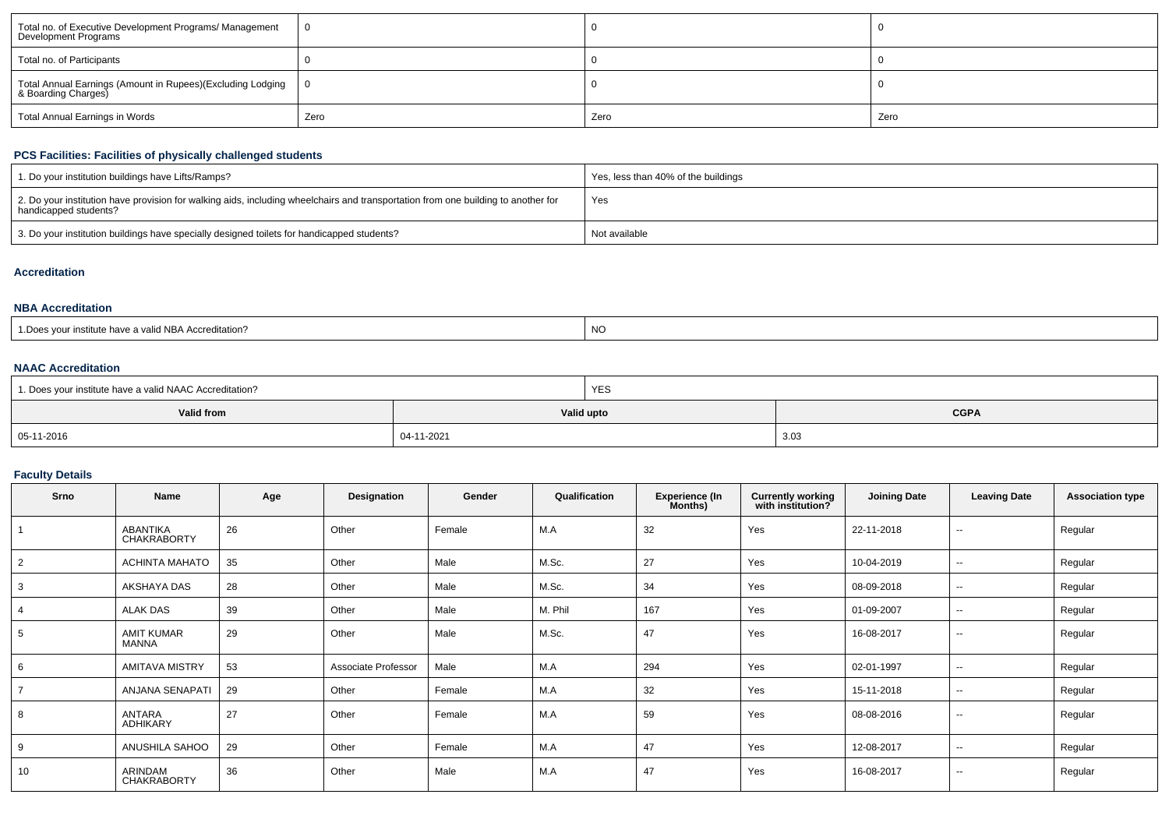| Total no. of Executive Development Programs/ Management<br>Development Programs   |      |      |      |
|-----------------------------------------------------------------------------------|------|------|------|
| Total no. of Participants                                                         |      |      |      |
| Total Annual Earnings (Amount in Rupees)(Excluding Lodging<br>& Boarding Charges) |      |      |      |
| Total Annual Earnings in Words                                                    | Zero | Zero | Zero |

## **PCS Facilities: Facilities of physically challenged students**

| 1. Do your institution buildings have Lifts/Ramps?                                                                                                         | Yes, less than 40% of the buildings |
|------------------------------------------------------------------------------------------------------------------------------------------------------------|-------------------------------------|
| 2. Do your institution have provision for walking aids, including wheelchairs and transportation from one building to another for<br>handicapped students? | Yes                                 |
| 3. Do your institution buildings have specially designed toilets for handicapped students?                                                                 | Not available                       |

## **Accreditation**

### **NBA Accreditation**

| a valid NBA Accreditation?<br>nstitute have a | NO |
|-----------------------------------------------|----|
|-----------------------------------------------|----|

## **NAAC Accreditation**

| 1. Does your institute have a valid NAAC Accreditation? |            | YES         |      |  |  |
|---------------------------------------------------------|------------|-------------|------|--|--|
| Valid from                                              | Valid upto | <b>CGPA</b> |      |  |  |
| $05-11-2016$                                            | 04-11-2021 |             | 3.03 |  |  |

## **Faculty Details**

| Srno           | Name                                  | Age | Designation         | Gender | Qualification | <b>Experience (In</b><br>Months) | <b>Currently working</b><br>with institution? | <b>Joining Date</b> | <b>Leaving Date</b>      | <b>Association type</b> |
|----------------|---------------------------------------|-----|---------------------|--------|---------------|----------------------------------|-----------------------------------------------|---------------------|--------------------------|-------------------------|
|                | <b>ABANTIKA</b><br><b>CHAKRABORTY</b> | 26  | Other               | Female | M.A           | 32                               | Yes                                           | 22-11-2018          | $\sim$                   | Regular                 |
| $\overline{2}$ | <b>ACHINTA MAHATO</b>                 | 35  | Other               | Male   | M.Sc.         | 27                               | Yes                                           | 10-04-2019          | $\sim$                   | Regular                 |
| 3              | AKSHAYA DAS                           | 28  | Other               | Male   | M.Sc.         | 34                               | Yes                                           | 08-09-2018          | $\sim$                   | Regular                 |
|                | <b>ALAK DAS</b>                       | 39  | Other               | Male   | M. Phil       | 167                              | Yes                                           | 01-09-2007          | $\overline{\phantom{a}}$ | Regular                 |
| 5              | AMIT KUMAR<br>MANNA                   | 29  | Other               | Male   | M.Sc.         | 47                               | Yes                                           | 16-08-2017          | $\sim$                   | Regular                 |
| 6              | <b>AMITAVA MISTRY</b>                 | 53  | Associate Professor | Male   | M.A           | 294                              | Yes                                           | 02-01-1997          | $\overline{\phantom{a}}$ | Regular                 |
| $\overline{7}$ | ANJANA SENAPATI                       | 29  | Other               | Female | M.A           | 32                               | Yes                                           | 15-11-2018          | $\sim$                   | Regular                 |
| 8              | ANTARA<br>ADHIKARY                    | 27  | Other               | Female | M.A           | 59                               | Yes                                           | 08-08-2016          | $\sim$                   | Regular                 |
| 9              | ANUSHILA SAHOO                        | 29  | Other               | Female | M.A           | 47                               | Yes                                           | 12-08-2017          | $\sim$                   | Regular                 |
| 10             | ARINDAM<br><b>CHAKRABORTY</b>         | 36  | Other               | Male   | M.A           | 47                               | Yes                                           | 16-08-2017          | $\sim$                   | Regular                 |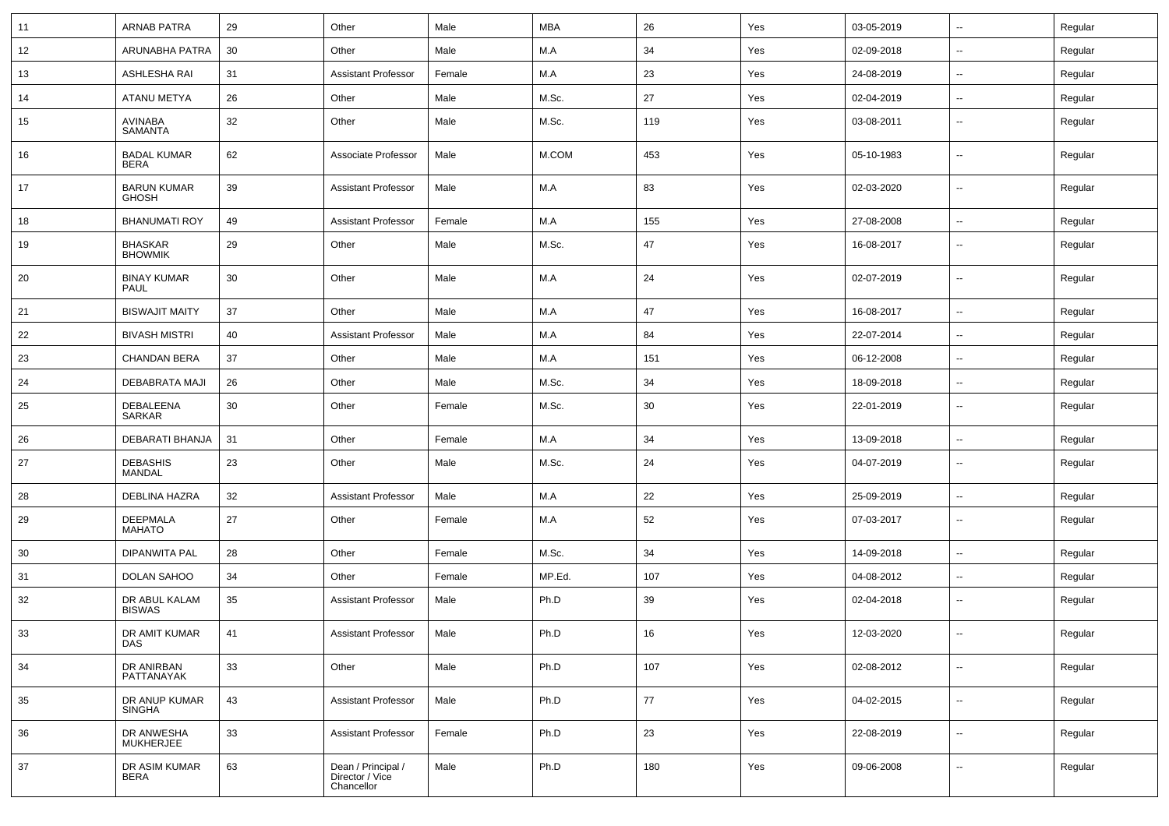| 11 | <b>ARNAB PATRA</b>                 | 29 | Other                                               | Male   | <b>MBA</b> | 26  | Yes | 03-05-2019 | $\sim$                   | Regular |
|----|------------------------------------|----|-----------------------------------------------------|--------|------------|-----|-----|------------|--------------------------|---------|
| 12 | ARUNABHA PATRA                     | 30 | Other                                               | Male   | M.A        | 34  | Yes | 02-09-2018 | $\sim$                   | Regular |
| 13 | ASHLESHA RAI                       | 31 | <b>Assistant Professor</b>                          | Female | M.A        | 23  | Yes | 24-08-2019 | $\sim$                   | Regular |
| 14 | <b>ATANU METYA</b>                 | 26 | Other                                               | Male   | M.Sc.      | 27  | Yes | 02-04-2019 | $\overline{\phantom{a}}$ | Regular |
| 15 | AVINABA<br><b>SAMANTA</b>          | 32 | Other                                               | Male   | M.Sc.      | 119 | Yes | 03-08-2011 | $\overline{\phantom{a}}$ | Regular |
| 16 | <b>BADAL KUMAR</b><br><b>BERA</b>  | 62 | Associate Professor                                 | Male   | M.COM      | 453 | Yes | 05-10-1983 | $\overline{\phantom{a}}$ | Regular |
| 17 | <b>BARUN KUMAR</b><br><b>GHOSH</b> | 39 | <b>Assistant Professor</b>                          | Male   | M.A        | 83  | Yes | 02-03-2020 | $\overline{\phantom{a}}$ | Regular |
| 18 | <b>BHANUMATI ROY</b>               | 49 | <b>Assistant Professor</b>                          | Female | M.A        | 155 | Yes | 27-08-2008 | $\overline{\phantom{a}}$ | Regular |
| 19 | <b>BHASKAR</b><br><b>BHOWMIK</b>   | 29 | Other                                               | Male   | M.Sc.      | 47  | Yes | 16-08-2017 | $\sim$                   | Regular |
| 20 | <b>BINAY KUMAR</b><br><b>PAUL</b>  | 30 | Other                                               | Male   | M.A        | 24  | Yes | 02-07-2019 | $\sim$                   | Regular |
| 21 | <b>BISWAJIT MAITY</b>              | 37 | Other                                               | Male   | M.A        | 47  | Yes | 16-08-2017 | $\sim$                   | Regular |
| 22 | <b>BIVASH MISTRI</b>               | 40 | <b>Assistant Professor</b>                          | Male   | M.A        | 84  | Yes | 22-07-2014 | $\sim$                   | Regular |
| 23 | <b>CHANDAN BERA</b>                | 37 | Other                                               | Male   | M.A        | 151 | Yes | 06-12-2008 | $\overline{\phantom{a}}$ | Regular |
| 24 | DEBABRATA MAJI                     | 26 | Other                                               | Male   | M.Sc.      | 34  | Yes | 18-09-2018 | $\sim$                   | Regular |
| 25 | DEBALEENA<br>SARKAR                | 30 | Other                                               | Female | M.Sc.      | 30  | Yes | 22-01-2019 | $\overline{\phantom{a}}$ | Regular |
| 26 | DEBARATI BHANJA                    | 31 | Other                                               | Female | M.A        | 34  | Yes | 13-09-2018 | $\overline{\phantom{a}}$ | Regular |
| 27 | <b>DEBASHIS</b><br><b>MANDAL</b>   | 23 | Other                                               | Male   | M.Sc.      | 24  | Yes | 04-07-2019 | $\overline{\phantom{a}}$ | Regular |
| 28 | <b>DEBLINA HAZRA</b>               | 32 | <b>Assistant Professor</b>                          | Male   | M.A        | 22  | Yes | 25-09-2019 | $\overline{\phantom{a}}$ | Regular |
| 29 | <b>DEEPMALA</b><br><b>MAHATO</b>   | 27 | Other                                               | Female | M.A        | 52  | Yes | 07-03-2017 | $\overline{\phantom{a}}$ | Regular |
| 30 | <b>DIPANWITA PAL</b>               | 28 | Other                                               | Female | M.Sc.      | 34  | Yes | 14-09-2018 | $\sim$                   | Regular |
| 31 | <b>DOLAN SAHOO</b>                 | 34 | Other                                               | Female | MP.Ed.     | 107 | Yes | 04-08-2012 | $\sim$                   | Regular |
| 32 | DR ABUL KALAM<br><b>BISWAS</b>     | 35 | <b>Assistant Professor</b>                          | Male   | Ph.D       | 39  | Yes | 02-04-2018 | $\sim$                   | Regular |
| 33 | DR AMIT KUMAR<br>DAS               | 41 | <b>Assistant Professor</b>                          | Male   | Ph.D       | 16  | Yes | 12-03-2020 | $\overline{\phantom{a}}$ | Regular |
| 34 | DR ANIRBAN<br>PATTANAYAK           | 33 | Other                                               | Male   | Ph.D       | 107 | Yes | 02-08-2012 | $\sim$                   | Regular |
| 35 | DR ANUP KUMAR<br><b>SINGHA</b>     | 43 | <b>Assistant Professor</b>                          | Male   | Ph.D       | 77  | Yes | 04-02-2015 | $\sim$                   | Regular |
| 36 | DR ANWESHA<br><b>MUKHERJEE</b>     | 33 | <b>Assistant Professor</b>                          | Female | Ph.D       | 23  | Yes | 22-08-2019 | $\sim$                   | Regular |
| 37 | DR ASIM KUMAR<br><b>BERA</b>       | 63 | Dean / Principal /<br>Director / Vice<br>Chancellor | Male   | Ph.D       | 180 | Yes | 09-06-2008 | $\overline{\phantom{a}}$ | Regular |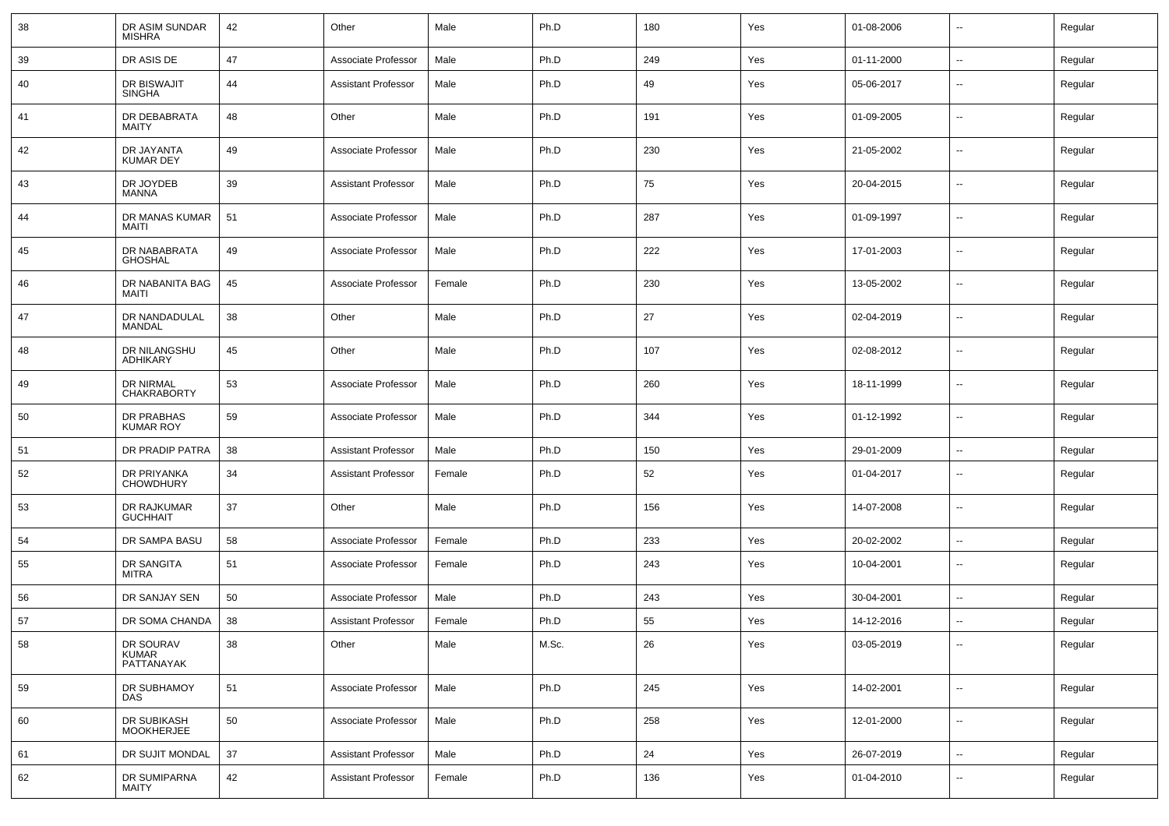| 38 | DR ASIM SUNDAR<br><b>MISHRA</b>  | 42 | Other                      | Male   | Ph.D  | 180 | Yes | 01-08-2006 | $\overline{\phantom{a}}$ | Regular |
|----|----------------------------------|----|----------------------------|--------|-------|-----|-----|------------|--------------------------|---------|
| 39 | DR ASIS DE                       | 47 | Associate Professor        | Male   | Ph.D  | 249 | Yes | 01-11-2000 | ⊷.                       | Regular |
| 40 | DR BISWAJIT<br><b>SINGHA</b>     | 44 | <b>Assistant Professor</b> | Male   | Ph.D  | 49  | Yes | 05-06-2017 | --                       | Regular |
| 41 | DR DEBABRATA<br>MAITY            | 48 | Other                      | Male   | Ph.D  | 191 | Yes | 01-09-2005 | $\overline{\phantom{a}}$ | Regular |
| 42 | DR JAYANTA<br><b>KUMAR DEY</b>   | 49 | Associate Professor        | Male   | Ph.D  | 230 | Yes | 21-05-2002 | $\overline{\phantom{a}}$ | Regular |
| 43 | DR JOYDEB<br>MANNA               | 39 | <b>Assistant Professor</b> | Male   | Ph.D  | 75  | Yes | 20-04-2015 | $\overline{\phantom{a}}$ | Regular |
| 44 | DR MANAS KUMAR<br>MAITI          | 51 | Associate Professor        | Male   | Ph.D  | 287 | Yes | 01-09-1997 | $\overline{\phantom{a}}$ | Regular |
| 45 | DR NABABRATA<br><b>GHOSHAL</b>   | 49 | Associate Professor        | Male   | Ph.D  | 222 | Yes | 17-01-2003 | $\overline{\phantom{a}}$ | Regular |
| 46 | DR NABANITA BAG<br>MAITI         | 45 | Associate Professor        | Female | Ph.D  | 230 | Yes | 13-05-2002 | $\overline{\phantom{a}}$ | Regular |
| 47 | DR NANDADULAL<br>MANDAL          | 38 | Other                      | Male   | Ph.D  | 27  | Yes | 02-04-2019 | $\overline{\phantom{a}}$ | Regular |
| 48 | DR NILANGSHU<br>ADHIKARY         | 45 | Other                      | Male   | Ph.D  | 107 | Yes | 02-08-2012 | $\overline{\phantom{a}}$ | Regular |
| 49 | DR NIRMAL<br><b>CHAKRABORTY</b>  | 53 | Associate Professor        | Male   | Ph.D  | 260 | Yes | 18-11-1999 | $\overline{\phantom{a}}$ | Regular |
| 50 | DR PRABHAS<br><b>KUMAR ROY</b>   | 59 | Associate Professor        | Male   | Ph.D  | 344 | Yes | 01-12-1992 | $\overline{\phantom{a}}$ | Regular |
| 51 | DR PRADIP PATRA                  | 38 | <b>Assistant Professor</b> | Male   | Ph.D  | 150 | Yes | 29-01-2009 | $\overline{\phantom{a}}$ | Regular |
| 52 | DR PRIYANKA<br><b>CHOWDHURY</b>  | 34 | <b>Assistant Professor</b> | Female | Ph.D  | 52  | Yes | 01-04-2017 | $\overline{\phantom{a}}$ | Regular |
| 53 | DR RAJKUMAR<br><b>GUCHHAIT</b>   | 37 | Other                      | Male   | Ph.D  | 156 | Yes | 14-07-2008 | $\overline{\phantom{a}}$ | Regular |
| 54 | DR SAMPA BASU                    | 58 | Associate Professor        | Female | Ph.D  | 233 | Yes | 20-02-2002 | $\overline{\phantom{a}}$ | Regular |
| 55 | DR SANGITA<br><b>MITRA</b>       | 51 | Associate Professor        | Female | Ph.D  | 243 | Yes | 10-04-2001 | $\overline{\phantom{a}}$ | Regular |
| 56 | DR SANJAY SEN                    | 50 | Associate Professor        | Male   | Ph.D  | 243 | Yes | 30-04-2001 | $\overline{\phantom{a}}$ | Regular |
| 57 | DR SOMA CHANDA                   | 38 | <b>Assistant Professor</b> | Female | Ph.D  | 55  | Yes | 14-12-2016 | Ξ.                       | Regular |
| 58 | DR SOURAV<br>KUMAR<br>PATTANAYAK | 38 | Other                      | Male   | M.Sc. | 26  | Yes | 03-05-2019 | $\sim$                   | Regular |
| 59 | DR SUBHAMOY<br>DAS               | 51 | Associate Professor        | Male   | Ph.D  | 245 | Yes | 14-02-2001 | н.                       | Regular |
| 60 | DR SUBIKASH<br>MOOKHERJEE        | 50 | Associate Professor        | Male   | Ph.D  | 258 | Yes | 12-01-2000 | $\overline{\phantom{a}}$ | Regular |
| 61 | DR SUJIT MONDAL                  | 37 | <b>Assistant Professor</b> | Male   | Ph.D  | 24  | Yes | 26-07-2019 | н.                       | Regular |
| 62 | DR SUMIPARNA<br>MAITY            | 42 | <b>Assistant Professor</b> | Female | Ph.D  | 136 | Yes | 01-04-2010 | н.                       | Regular |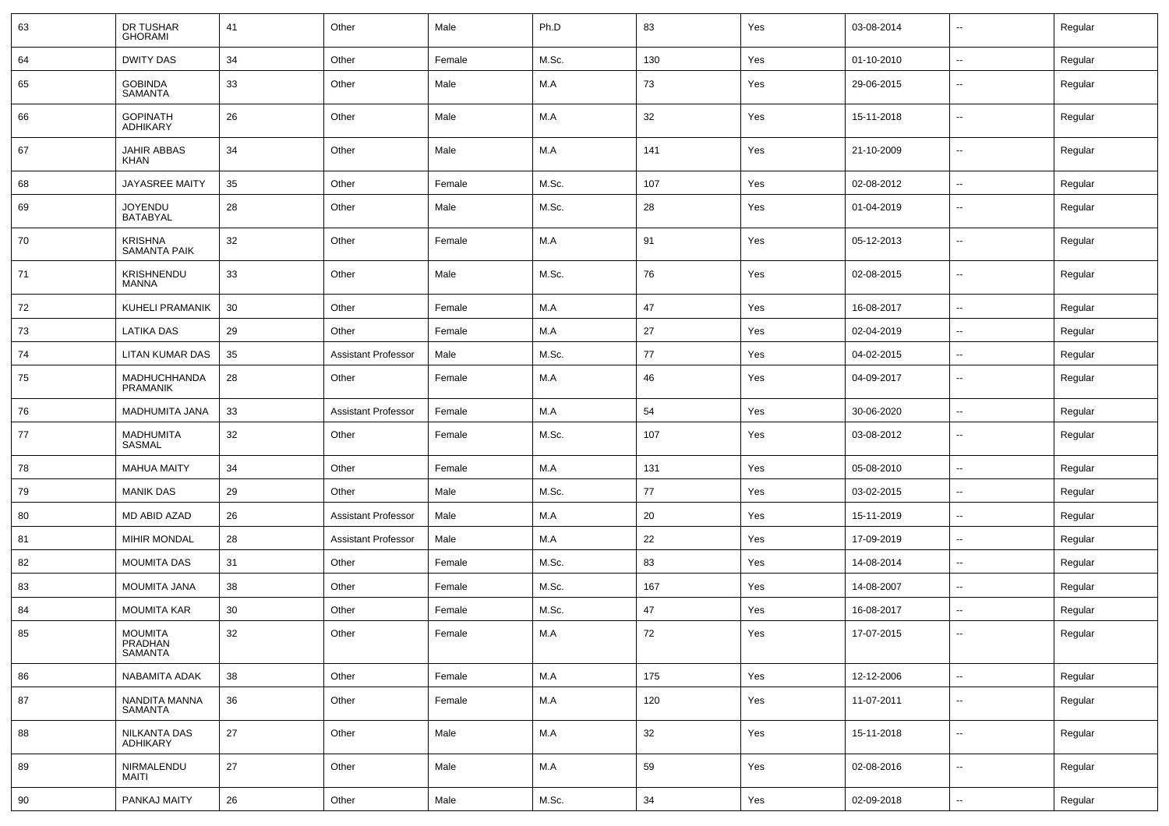| 63 | DR TUSHAR<br><b>GHORAMI</b>                 | 41     | Other                      | Male   | Ph.D  | 83  | Yes | 03-08-2014 | $\sim$                   | Regular |
|----|---------------------------------------------|--------|----------------------------|--------|-------|-----|-----|------------|--------------------------|---------|
| 64 | <b>DWITY DAS</b>                            | 34     | Other                      | Female | M.Sc. | 130 | Yes | 01-10-2010 | $\sim$                   | Regular |
| 65 | <b>GOBINDA</b><br><b>SAMANTA</b>            | 33     | Other                      | Male   | M.A   | 73  | Yes | 29-06-2015 | $\sim$                   | Regular |
| 66 | <b>GOPINATH</b><br><b>ADHIKARY</b>          | 26     | Other                      | Male   | M.A   | 32  | Yes | 15-11-2018 | $\sim$                   | Regular |
| 67 | JAHIR ABBAS<br>KHAN                         | 34     | Other                      | Male   | M.A   | 141 | Yes | 21-10-2009 | $\sim$                   | Regular |
| 68 | <b>JAYASREE MAITY</b>                       | 35     | Other                      | Female | M.Sc. | 107 | Yes | 02-08-2012 | $\sim$                   | Regular |
| 69 | <b>JOYENDU</b><br><b>BATABYAL</b>           | 28     | Other                      | Male   | M.Sc. | 28  | Yes | 01-04-2019 | $\sim$                   | Regular |
| 70 | <b>KRISHNA</b><br><b>SAMANTA PAIK</b>       | 32     | Other                      | Female | M.A   | 91  | Yes | 05-12-2013 | $\sim$                   | Regular |
| 71 | KRISHNENDU<br>MANNA                         | 33     | Other                      | Male   | M.Sc. | 76  | Yes | 02-08-2015 | $\sim$                   | Regular |
| 72 | KUHELI PRAMANIK                             | 30     | Other                      | Female | M.A   | 47  | Yes | 16-08-2017 | $\sim$                   | Regular |
| 73 | LATIKA DAS                                  | 29     | Other                      | Female | M.A   | 27  | Yes | 02-04-2019 | $\overline{\phantom{a}}$ | Regular |
| 74 | LITAN KUMAR DAS                             | 35     | <b>Assistant Professor</b> | Male   | M.Sc. | 77  | Yes | 04-02-2015 | $\sim$                   | Regular |
| 75 | MADHUCHHANDA<br><b>PRAMANIK</b>             | 28     | Other                      | Female | M.A   | 46  | Yes | 04-09-2017 | $\sim$                   | Regular |
| 76 | MADHUMITA JANA                              | 33     | <b>Assistant Professor</b> | Female | M.A   | 54  | Yes | 30-06-2020 | $\sim$                   | Regular |
| 77 | <b>MADHUMITA</b><br>SASMAL                  | 32     | Other                      | Female | M.Sc. | 107 | Yes | 03-08-2012 | $\overline{\phantom{a}}$ | Regular |
| 78 | <b>MAHUA MAITY</b>                          | 34     | Other                      | Female | M.A   | 131 | Yes | 05-08-2010 | $\sim$                   | Regular |
| 79 | <b>MANIK DAS</b>                            | 29     | Other                      | Male   | M.Sc. | 77  | Yes | 03-02-2015 | $\sim$                   | Regular |
| 80 | MD ABID AZAD                                | 26     | <b>Assistant Professor</b> | Male   | M.A   | 20  | Yes | 15-11-2019 | $\sim$                   | Regular |
| 81 | <b>MIHIR MONDAL</b>                         | 28     | <b>Assistant Professor</b> | Male   | M.A   | 22  | Yes | 17-09-2019 | $\overline{\phantom{a}}$ | Regular |
| 82 | <b>MOUMITA DAS</b>                          | 31     | Other                      | Female | M.Sc. | 83  | Yes | 14-08-2014 | $\overline{\phantom{a}}$ | Regular |
| 83 | MOUMITA JANA                                | 38     | Other                      | Female | M.Sc. | 167 | Yes | 14-08-2007 | $\overline{\phantom{a}}$ | Regular |
| 84 | <b>MOUMITA KAR</b>                          | 30     | Other                      | Female | M.Sc. | 47  | Yes | 16-08-2017 | $\sim$                   | Regular |
| 85 | <b>MOUMITA</b><br>PRADHAN<br><b>SAMANTA</b> | 32     | Other                      | Female | M.A   | 72  | Yes | 17-07-2015 | $\overline{\phantom{a}}$ | Regular |
| 86 | NABAMITA ADAK                               | 38     | Other                      | Female | $M.A$ | 175 | Yes | 12-12-2006 | $\sim$                   | Regular |
| 87 | NANDITA MANNA<br>SAMANTA                    | 36     | Other                      | Female | M.A   | 120 | Yes | 11-07-2011 | $\sim$                   | Regular |
| 88 | NILKANTA DAS<br><b>ADHIKARY</b>             | $27\,$ | Other                      | Male   | M.A   | 32  | Yes | 15-11-2018 | $\sim$                   | Regular |
| 89 | NIRMALENDU<br>MAITI                         | 27     | Other                      | Male   | M.A   | 59  | Yes | 02-08-2016 | $\sim$                   | Regular |
| 90 | PANKAJ MAITY                                | 26     | Other                      | Male   | M.Sc. | 34  | Yes | 02-09-2018 | $\sim$                   | Regular |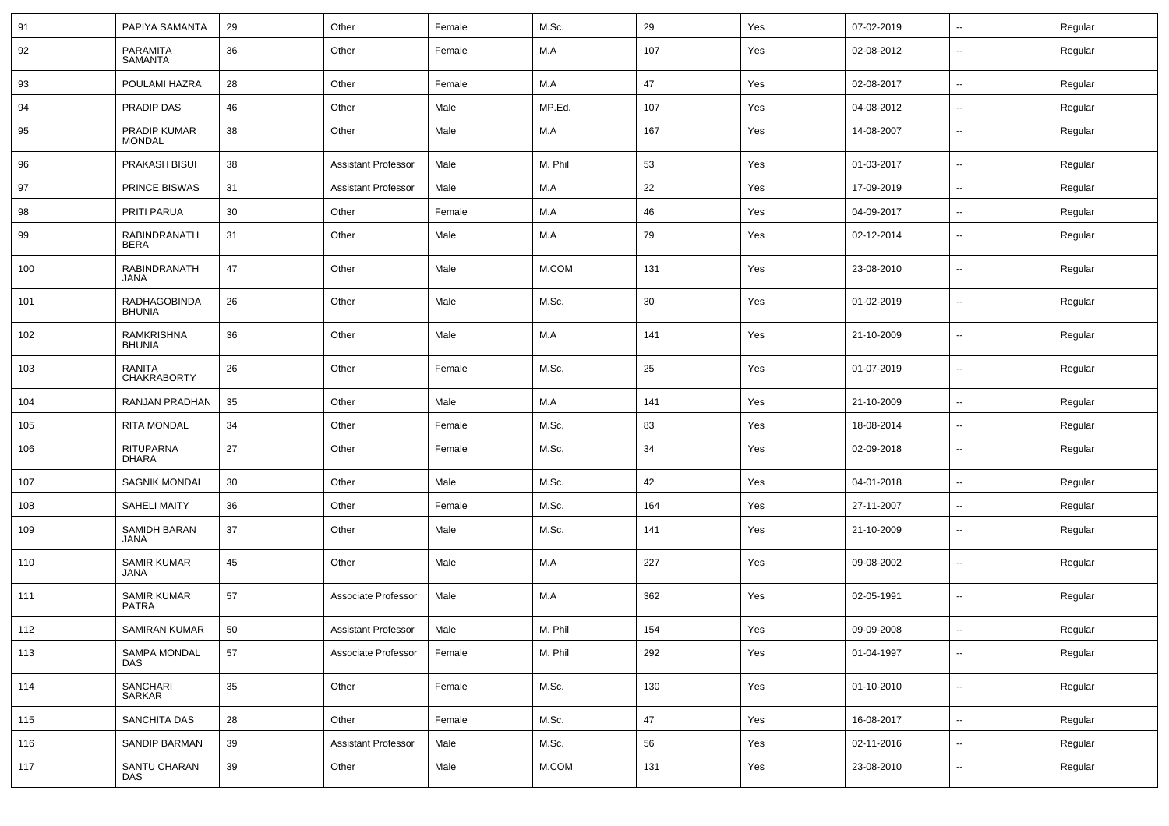| 91  | PAPIYA SAMANTA                       | 29 | Other                      | Female | M.Sc.   | 29  | Yes | 07-02-2019 | $\overline{\phantom{a}}$ | Regular |
|-----|--------------------------------------|----|----------------------------|--------|---------|-----|-----|------------|--------------------------|---------|
| 92  | <b>PARAMITA</b><br><b>SAMANTA</b>    | 36 | Other                      | Female | M.A     | 107 | Yes | 02-08-2012 | --                       | Regular |
| 93  | POULAMI HAZRA                        | 28 | Other                      | Female | M.A     | 47  | Yes | 02-08-2017 | --                       | Regular |
| 94  | PRADIP DAS                           | 46 | Other                      | Male   | MP.Ed.  | 107 | Yes | 04-08-2012 | $\sim$                   | Regular |
| 95  | PRADIP KUMAR<br><b>MONDAL</b>        | 38 | Other                      | Male   | M.A     | 167 | Yes | 14-08-2007 | --                       | Regular |
| 96  | PRAKASH BISUI                        | 38 | <b>Assistant Professor</b> | Male   | M. Phil | 53  | Yes | 01-03-2017 | $\overline{\phantom{a}}$ | Regular |
| 97  | PRINCE BISWAS                        | 31 | <b>Assistant Professor</b> | Male   | M.A     | 22  | Yes | 17-09-2019 | Ξ.                       | Regular |
| 98  | PRITI PARUA                          | 30 | Other                      | Female | M.A     | 46  | Yes | 04-09-2017 | $\sim$                   | Regular |
| 99  | RABINDRANATH<br><b>BERA</b>          | 31 | Other                      | Male   | M.A     | 79  | Yes | 02-12-2014 | $\overline{\phantom{a}}$ | Regular |
| 100 | <b>RABINDRANATH</b><br>JANA          | 47 | Other                      | Male   | M.COM   | 131 | Yes | 23-08-2010 | $\overline{\phantom{a}}$ | Regular |
| 101 | <b>RADHAGOBINDA</b><br><b>BHUNIA</b> | 26 | Other                      | Male   | M.Sc.   | 30  | Yes | 01-02-2019 | $\overline{\phantom{a}}$ | Regular |
| 102 | <b>RAMKRISHNA</b><br><b>BHUNIA</b>   | 36 | Other                      | Male   | M.A     | 141 | Yes | 21-10-2009 | $\overline{\phantom{a}}$ | Regular |
| 103 | RANITA<br><b>CHAKRABORTY</b>         | 26 | Other                      | Female | M.Sc.   | 25  | Yes | 01-07-2019 | $\overline{\phantom{a}}$ | Regular |
| 104 | RANJAN PRADHAN                       | 35 | Other                      | Male   | M.A     | 141 | Yes | 21-10-2009 | $\overline{\phantom{a}}$ | Regular |
| 105 | <b>RITA MONDAL</b>                   | 34 | Other                      | Female | M.Sc.   | 83  | Yes | 18-08-2014 | $\overline{a}$           | Regular |
| 106 | <b>RITUPARNA</b><br><b>DHARA</b>     | 27 | Other                      | Female | M.Sc.   | 34  | Yes | 02-09-2018 | $\overline{a}$           | Regular |
| 107 | <b>SAGNIK MONDAL</b>                 | 30 | Other                      | Male   | M.Sc.   | 42  | Yes | 04-01-2018 | Ξ.                       | Regular |
| 108 | <b>SAHELI MAITY</b>                  | 36 | Other                      | Female | M.Sc.   | 164 | Yes | 27-11-2007 | $\overline{\phantom{a}}$ | Regular |
| 109 | SAMIDH BARAN<br><b>JANA</b>          | 37 | Other                      | Male   | M.Sc.   | 141 | Yes | 21-10-2009 | --                       | Regular |
| 110 | <b>SAMIR KUMAR</b><br><b>JANA</b>    | 45 | Other                      | Male   | M.A     | 227 | Yes | 09-08-2002 | --                       | Regular |
| 111 | SAMIR KUMAR<br><b>PATRA</b>          | 57 | Associate Professor        | Male   | M.A     | 362 | Yes | 02-05-1991 | --                       | Regular |
| 112 | <b>SAMIRAN KUMAR</b>                 | 50 | <b>Assistant Professor</b> | Male   | M. Phil | 154 | Yes | 09-09-2008 | --                       | Regular |
| 113 | SAMPA MONDAL<br><b>DAS</b>           | 57 | Associate Professor        | Female | M. Phil | 292 | Yes | 01-04-1997 | $\overline{\phantom{a}}$ | Regular |
| 114 | SANCHARI<br>SARKAR                   | 35 | Other                      | Female | M.Sc.   | 130 | Yes | 01-10-2010 | $\sim$                   | Regular |
| 115 | <b>SANCHITA DAS</b>                  | 28 | Other                      | Female | M.Sc.   | 47  | Yes | 16-08-2017 | $\overline{\phantom{a}}$ | Regular |
| 116 | SANDIP BARMAN                        | 39 | <b>Assistant Professor</b> | Male   | M.Sc.   | 56  | Yes | 02-11-2016 | $\overline{\phantom{a}}$ | Regular |
| 117 | SANTU CHARAN<br>DAS                  | 39 | Other                      | Male   | M.COM   | 131 | Yes | 23-08-2010 | $\overline{\phantom{a}}$ | Regular |